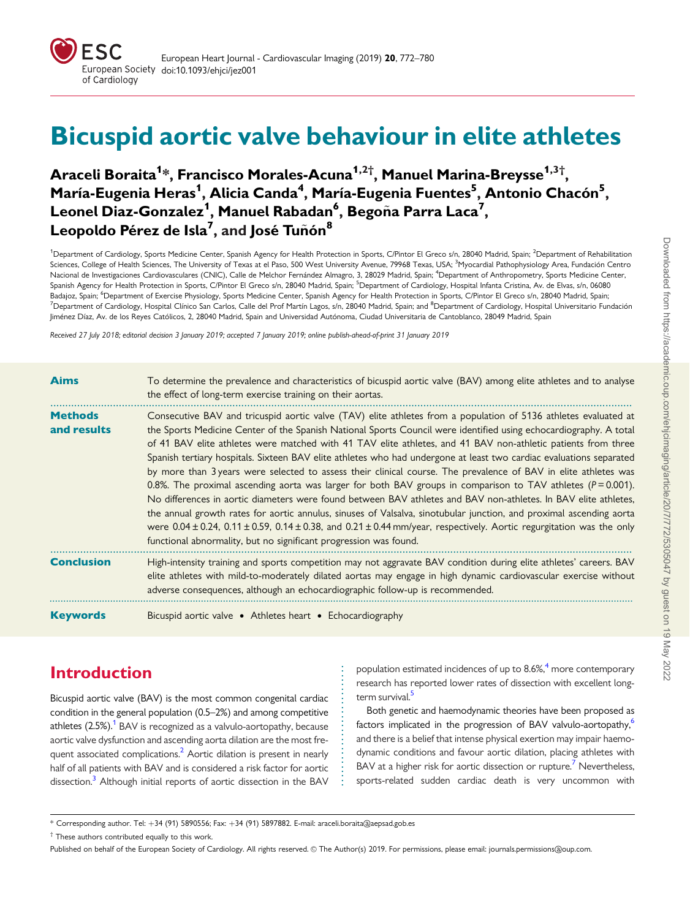<span id="page-0-0"></span>

# Bicuspid aortic valve behaviour in elite athletes

# Araceli Boraita<sup>1</sup>\*, Francisco Morales-Acuna<sup>1,2†</sup>, Manuel Marina-Breysse<sup>1,3†</sup>, María-Eugenia Heras<sup>1</sup>, Alicia Canda<sup>4</sup>, María-Eugenia Fuentes<sup>5</sup>, Antonio Chacón<sup>5</sup>, Leonel Diaz-Gonzalez<sup>1</sup>, Manuel Rabadan<sup>6</sup>, Begoña Parra Laca<sup>7</sup>, Leopoldo Pérez de Isla<sup>7</sup>, and José Tuñón<sup>8</sup>

<sup>1</sup>Department of Cardiology, Sports Medicine Center, Spanish Agency for Health Protection in Sports, C/Pintor El Greco s/n, 28040 Madrid, Spain; <sup>2</sup>Department of Rehabilitation Sciences, College of Health Sciences, The University of Texas at el Paso, 500 West University Avenue, 79968 Texas, USA; <sup>3</sup>Myocardial Pathophysiology Area, Fundación Centro Nacional de Investigaciones Cardiovasculares (CNIC), Calle de Melchor Fernández Almagro, 3, 28029 Madrid, Spain; <sup>4</sup>Department of Anthropometry, Sports Medicine Center, Spanish Agency for Health Protection in Sports, C/Pintor El Greco s/n, 28040 Madrid, Spain; <sup>5</sup>Department of Cardiology, Hospital Infanta Cristina, Av. de Elvas, s/n, 06080 Badajoz, Spain; <sup>6</sup>Department of Exercise Physiology, Sports Medicine Center, Spanish Agency for Health Protection in Sports, C/Pintor El Greco s/n, 28040 Madrid, Spain; <sup>7</sup>Department of Cardiology, Hospital Clínico San Carlos, Calle del Prof Martín Lagos, s/n, 28040 Madrid, Spain; and <sup>8</sup>Department of Cardiology, Hospital Universitario Fundación Jiménez Díaz, Av. de los Reyes Católicos, 2, 28040 Madrid, Spain and Universidad Autónoma, Ciudad Universitaria de Cantoblanco, 28049 Madrid, Spain

Received 27 July 2018; editorial decision 3 January 2019; accepted 7 January 2019; online publish-ahead-of-print 31 January 2019

| <b>Aims</b>                   | To determine the prevalence and characteristics of bicuspid aortic valve (BAV) among elite athletes and to analyse<br>the effect of long-term exercise training on their aortas.                                                                                                                                                                                                                                                                                                                                                                                                                                                                                                                                                                                                                                                                                                                                                                                                                                                                                                                                                                                              |
|-------------------------------|-------------------------------------------------------------------------------------------------------------------------------------------------------------------------------------------------------------------------------------------------------------------------------------------------------------------------------------------------------------------------------------------------------------------------------------------------------------------------------------------------------------------------------------------------------------------------------------------------------------------------------------------------------------------------------------------------------------------------------------------------------------------------------------------------------------------------------------------------------------------------------------------------------------------------------------------------------------------------------------------------------------------------------------------------------------------------------------------------------------------------------------------------------------------------------|
| <b>Methods</b><br>and results | Consecutive BAV and tricuspid aortic valve (TAV) elite athletes from a population of 5136 athletes evaluated at<br>the Sports Medicine Center of the Spanish National Sports Council were identified using echocardiography. A total<br>of 41 BAV elite athletes were matched with 41 TAV elite athletes, and 41 BAV non-athletic patients from three<br>Spanish tertiary hospitals. Sixteen BAV elite athletes who had undergone at least two cardiac evaluations separated<br>by more than 3 years were selected to assess their clinical course. The prevalence of BAV in elite athletes was<br>0.8%. The proximal ascending aorta was larger for both BAV groups in comparison to TAV athletes ( $P = 0.001$ ).<br>No differences in aortic diameters were found between BAV athletes and BAV non-athletes. In BAV elite athletes,<br>the annual growth rates for aortic annulus, sinuses of Valsalva, sinotubular junction, and proximal ascending aorta<br>were $0.04 \pm 0.24$ , $0.11 \pm 0.59$ , $0.14 \pm 0.38$ , and $0.21 \pm 0.44$ mm/year, respectively. Aortic regurgitation was the only<br>functional abnormality, but no significant progression was found. |
| <b>Conclusion</b>             | High-intensity training and sports competition may not aggravate BAV condition during elite athletes' careers. BAV<br>elite athletes with mild-to-moderately dilated aortas may engage in high dynamic cardiovascular exercise without<br>adverse consequences, although an echocardiographic follow-up is recommended.                                                                                                                                                                                                                                                                                                                                                                                                                                                                                                                                                                                                                                                                                                                                                                                                                                                       |
| <b>Keywords</b>               | Bicuspid aortic valve • Athletes heart • Echocardiography                                                                                                                                                                                                                                                                                                                                                                                                                                                                                                                                                                                                                                                                                                                                                                                                                                                                                                                                                                                                                                                                                                                     |

# Introduction

Bicuspid aortic valve (BAV) is the most common congenital cardiac condition in the general population (0.5–2%) and among competitive athletes  $(2.5\%)$ .<sup>1</sup> BAV is recognized as a valvulo-aortopathy, because aortic valve dysfunction and ascending aorta dilation are the most fre-quent associated complications.<sup>[2](#page-8-0)</sup> Aortic dilation is present in nearly half of all patients with BAV and is considered a risk factor for aortic dissection.<sup>[3](#page-8-0)</sup> Although initial reports of aortic dissection in the BAV population estimated incidences of up to  $8.6\%$ <sup>[4](#page-8-0)</sup> more contemporary research has reported lower rates of dissection with excellent longterm survival.<sup>5</sup>

Both genetic and haemodynamic theories have been proposed as factors implicated in the progression of BAV valvulo-aortopathy,<sup>[6](#page-8-0)</sup> and there is a belief that intense physical exertion may impair haemodynamic conditions and favour aortic dilation, placing athletes with BAV at a higher risk for aortic dissection or rupture.<sup>[7](#page-8-0)</sup> Nevertheless, sports-related sudden cardiac death is very uncommon with

† These authors contributed equally to this work.

. . . . . . . . . . . . . . . . . . . . . . . . . . .

<sup>\*</sup> Corresponding author. Tel: +34 (91) 5890556; Fax: +34 (91) 5897882. E-mail: araceli.boraita@aepsad.gob.es

Published on behalf of the European Society of Cardiology. All rights reserved. © The Author(s) 2019. For permissions, please email: journals.permissions@oup.com.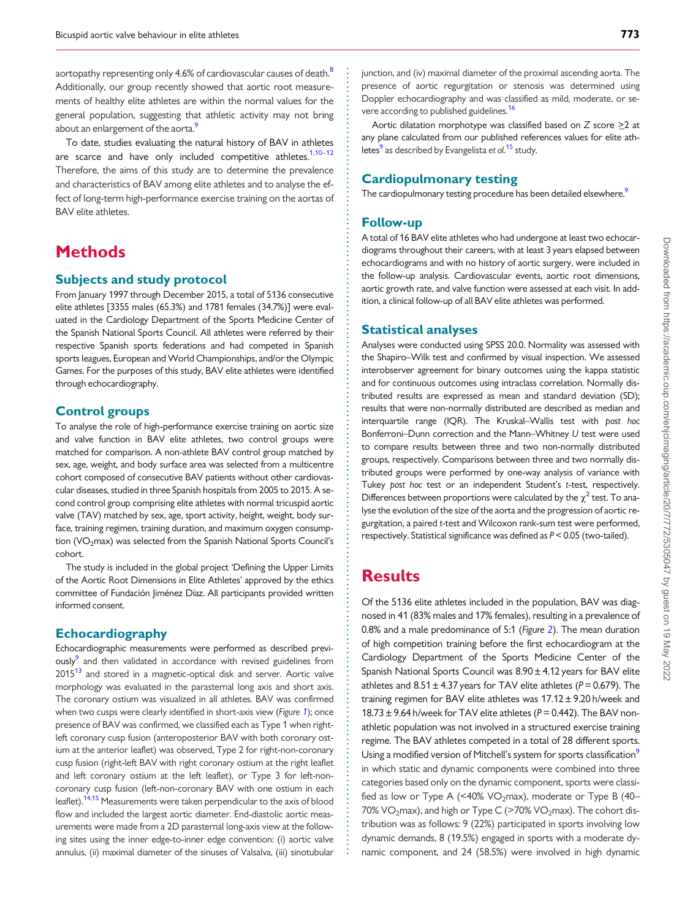<span id="page-1-0"></span>aortopathy representing only 4.6% of cardiovascular causes of death.<sup>[8](#page-8-0)</sup> Additionally, our group recently showed that aortic root measurements of healthy elite athletes are within the normal values for the general population, suggesting that athletic activity may not bring about an enlargement of the aorta.<sup>9</sup>

To date, studies evaluating the natural history of BAV in athletes are scarce and have only included competitive athletes.<sup>1,10-12</sup> Therefore, the aims of this study are to determine the prevalence and characteristics of BAV among elite athletes and to analyse the effect of long-term high-performance exercise training on the aortas of BAV elite athletes.

# **Methods**

#### Subjects and study protocol

From January 1997 through December 2015, a total of 5136 consecutive elite athletes [3355 males (65.3%) and 1781 females (34.7%)] were evaluated in the Cardiology Department of the Sports Medicine Center of the Spanish National Sports Council. All athletes were referred by their respective Spanish sports federations and had competed in Spanish sports leagues, European and World Championships, and/or the Olympic Games. For the purposes of this study, BAV elite athletes were identified through echocardiography.

#### Control groups

To analyse the role of high-performance exercise training on aortic size and valve function in BAV elite athletes, two control groups were matched for comparison. A non-athlete BAV control group matched by sex, age, weight, and body surface area was selected from a multicentre cohort composed of consecutive BAV patients without other cardiovascular diseases, studied in three Spanish hospitals from 2005 to 2015. A second control group comprising elite athletes with normal tricuspid aortic valve (TAV) matched by sex, age, sport activity, height, weight, body surface, training regimen, training duration, and maximum oxygen consumption (VO<sub>2</sub>max) was selected from the Spanish National Sports Council's cohort.

The study is included in the global project 'Defining the Upper Limits of the Aortic Root Dimensions in Elite Athletes' approved by the ethics committee of Fundación Jiménez Díaz. All participants provided written informed consent.

#### Echocardiography

Echocardiographic measurements were performed as described previously<sup>9</sup> and then validated in accordance with revised guidelines from  $2015<sup>13</sup>$  $2015<sup>13</sup>$  $2015<sup>13</sup>$  and stored in a magnetic-optical disk and server. Aortic valve morphology was evaluated in the parasternal long axis and short axis. The coronary ostium was visualized in all athletes. BAV was confirmed when two cusps were clearly identified in short-axis view (Figure [1](#page-2-0)); once presence of BAV was confirmed, we classified each as Type 1 when rightleft coronary cusp fusion (anteroposterior BAV with both coronary ostium at the anterior leaflet) was observed, Type 2 for right-non-coronary cusp fusion (right-left BAV with right coronary ostium at the right leaflet and left coronary ostium at the left leaflet), or Type 3 for left-noncoronary cusp fusion (left-non-coronary BAV with one ostium in each leaflet)[.14,15](#page-8-0) Measurements were taken perpendicular to the axis of blood flow and included the largest aortic diameter. End-diastolic aortic measurements were made from a 2D parasternal long-axis view at the following sites using the inner edge-to-inner edge convention: (i) aortic valve annulus, (ii) maximal diameter of the sinuses of Valsalva, (iii) sinotubular

junction, and (iv) maximal diameter of the proximal ascending aorta. The presence of aortic regurgitation or stenosis was determined using Doppler echocardiography and was classified as mild, moderate, or se-vere according to published guidelines.<sup>[16](#page-8-0)</sup>

Aortic dilatation morphotype was classified based on  $Z$  score  $\geq$  2 at any plane calculated from our published references values for elite ath-letes<sup>[9](#page-8-0)</sup> as described by Evangelista et al.<sup>[15](#page-8-0)</sup> study.

### Cardiopulmonary testing

The cardiopulmonary testing procedure has been detailed elsewhere.<sup>9</sup>

#### Follow-up

A total of 16 BAV elite athletes who had undergone at least two echocardiograms throughout their careers, with at least 3 years elapsed between echocardiograms and with no history of aortic surgery, were included in the follow-up analysis. Cardiovascular events, aortic root dimensions, aortic growth rate, and valve function were assessed at each visit. In addition, a clinical follow-up of all BAV elite athletes was performed.

#### Statistical analyses

Analyses were conducted using SPSS 20.0. Normality was assessed with the Shapiro–Wilk test and confirmed by visual inspection. We assessed interobserver agreement for binary outcomes using the kappa statistic and for continuous outcomes using intraclass correlation. Normally distributed results are expressed as mean and standard deviation (SD); results that were non-normally distributed are described as median and interquartile range (IQR). The Kruskal–Wallis test with post hoc Bonferroni–Dunn correction and the Mann–Whitney U test were used to compare results between three and two non-normally distributed groups, respectively. Comparisons between three and two normally distributed groups were performed by one-way analysis of variance with Tukey post hoc test or an independent Student's t-test, respectively. Differences between proportions were calculated by the  $\chi^2$  test. To analyse the evolution of the size of the aorta and the progression of aortic regurgitation, a paired t-test and Wilcoxon rank-sum test were performed, respectively. Statistical significance was defined as P< 0.05 (two-tailed).

# **Results**

. . . . . . . . . . . . . . . . . . . . . . . . . . . . . . . . . . . . . . . . . . . . . . . . . . . . . . . . . . . . . . . . . . . . . . . . . . . . . . . . . . . . . . . . . . . . . . . . . . . . . . . . . . . . . . . . . . . . . . . . . . . . . . . . . . . . . . . . . . . . . . . . . . . . . . . . . . . . . . . . . . . . . . . . . . . .

Of the 5136 elite athletes included in the population, BAV was diagnosed in 41 (83% males and 17% females), resulting in a prevalence of 0.8% and a male predominance of 5:1 (Figure [2](#page-3-0)). The mean duration of high competition training before the first echocardiogram at the Cardiology Department of the Sports Medicine Center of the Spanish National Sports Council was 8.90± 4.12 years for BAV elite athletes and  $8.51 \pm 4.37$  years for TAV elite athletes ( $P = 0.679$ ). The training regimen for BAV elite athletes was 17.12 ± 9.20 h/week and  $18.73 \pm 9.64$  h/week for TAV elite athletes ( $P = 0.442$ ). The BAV nonathletic population was not involved in a structured exercise training regime. The BAV athletes competed in a total of 28 different sports. Using a modified version of Mitchell's system for sports classification<sup>9</sup> in which static and dynamic components were combined into three categories based only on the dynamic component, sports were classified as low or Type A ( $\leq 40\%$  VO<sub>2</sub>max), moderate or Type B (40– 70% VO<sub>2</sub>max), and high or Type C ( $>$ 70% VO<sub>2</sub>max). The cohort distribution was as follows: 9 (22%) participated in sports involving low dynamic demands, 8 (19.5%) engaged in sports with a moderate dynamic component, and 24 (58.5%) were involved in high dynamic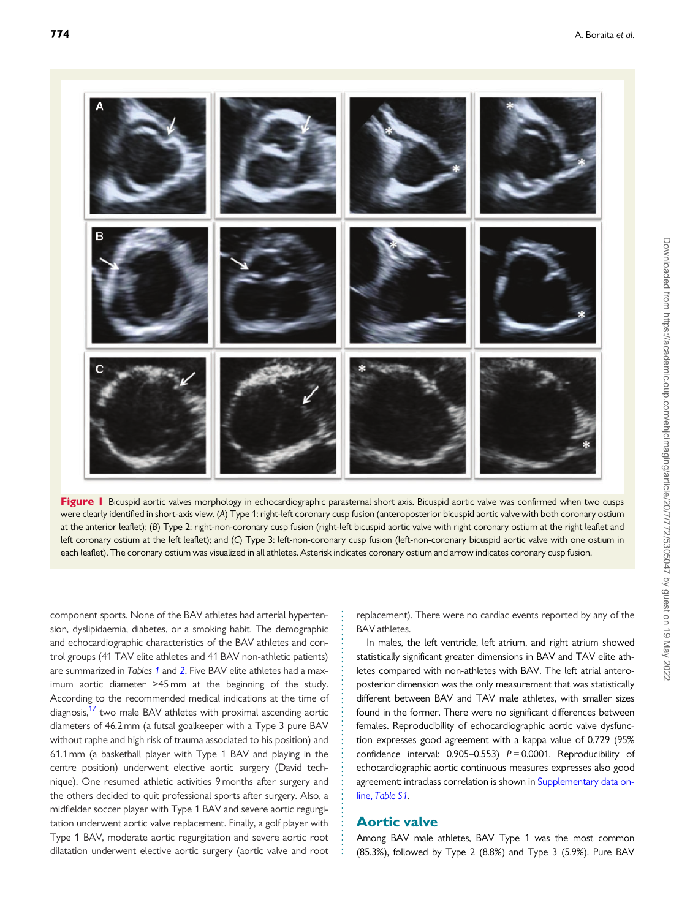<span id="page-2-0"></span>

Figure I Bicuspid aortic valves morphology in echocardiographic parasternal short axis. Bicuspid aortic valve was confirmed when two cusps were clearly identified in short-axis view. (A) Type 1: right-left coronary cusp fusion (anteroposterior bicuspid aortic valve with both coronary ostium at the anterior leaflet); (B) Type 2: right-non-coronary cusp fusion (right-left bicuspid aortic valve with right coronary ostium at the right leaflet and left coronary ostium at the left leaflet); and (C) Type 3: left-non-coronary cusp fusion (left-non-coronary bicuspid aortic valve with one ostium in each leaflet). The coronary ostium was visualized in all athletes. Asterisk indicates coronary ostium and arrow indicates coronary cusp fusion.

. component sports. None of the BAV athletes had arterial hypertension, dyslipidaemia, diabetes, or a smoking habit. The demographic and echocardiographic characteristics of the BAV athletes and control groups (41 TAV elite athletes and 41 BAV non-athletic patients) are summarized in Tables [1](#page-3-0) and [2](#page-4-0). Five BAV elite athletes had a maximum aortic diameter >45 mm at the beginning of the study. According to the recommended medical indications at the time of diagnosis,<sup>17</sup> two male BAV athletes with proximal ascending aortic diameters of 46.2 mm (a futsal goalkeeper with a Type 3 pure BAV without raphe and high risk of trauma associated to his position) and 61.1 mm (a basketball player with Type 1 BAV and playing in the centre position) underwent elective aortic surgery (David technique). One resumed athletic activities 9 months after surgery and the others decided to quit professional sports after surgery. Also, a midfielder soccer player with Type 1 BAV and severe aortic regurgitation underwent aortic valve replacement. Finally, a golf player with Type 1 BAV, moderate aortic regurgitation and severe aortic root dilatation underwent elective aortic surgery (aortic valve and root replacement). There were no cardiac events reported by any of the BAV athletes.

In males, the left ventricle, left atrium, and right atrium showed statistically significant greater dimensions in BAV and TAV elite athletes compared with non-athletes with BAV. The left atrial anteroposterior dimension was the only measurement that was statistically different between BAV and TAV male athletes, with smaller sizes found in the former. There were no significant differences between females. Reproducibility of echocardiographic aortic valve dysfunction expresses good agreement with a kappa value of 0.729 (95% confidence interval:  $0.905-0.553$ )  $P = 0.0001$ . Reproducibility of echocardiographic aortic continuous measures expresses also good agreement: intraclass correlation is shown in [Supplementary data on](https://academic.oup.com/ehjcimaging/article-lookup/doi/10.1093/ehjci/jez001#supplementary-data)line, [Table S1](https://academic.oup.com/ehjcimaging/article-lookup/doi/10.1093/ehjci/jez001#supplementary-data).

### Aortic valve

. . . . . . . . . . . . . . . . . . . . . . . . . . . . . . . . . . . . . . . . . . . . . . . . . . . . .

Among BAV male athletes, BAV Type 1 was the most common (85.3%), followed by Type 2 (8.8%) and Type 3 (5.9%). Pure BAV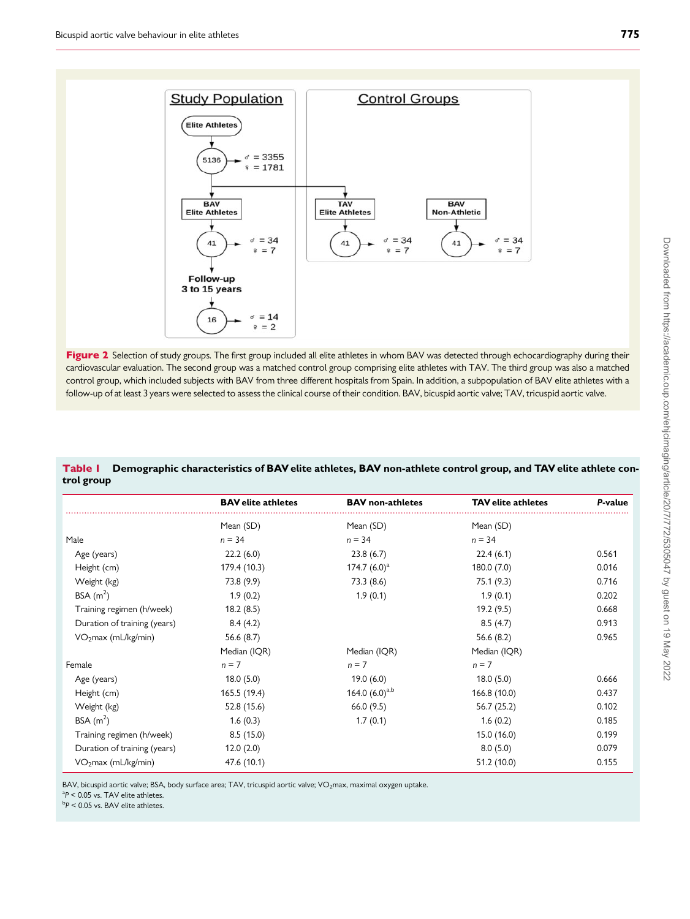<span id="page-3-0"></span>

Figure 2 Selection of study groups. The first group included all elite athletes in whom BAV was detected through echocardiography during their cardiovascular evaluation. The second group was a matched control group comprising elite athletes with TAV. The third group was also a matched control group, which included subjects with BAV from three different hospitals from Spain. In addition, a subpopulation of BAV elite athletes with a follow-up of at least 3 years were selected to assess the clinical course of their condition. BAV, bicuspid aortic valve; TAV, tricuspid aortic valve.

#### Table 1 Demographic characteristics of BAV elite athletes, BAV non-athlete control group, and TAV elite athlete control group

|                                 | <b>BAV</b> elite athletes | <b>BAV</b> non-athletes | <b>TAV</b> elite athletes | P-value |
|---------------------------------|---------------------------|-------------------------|---------------------------|---------|
|                                 | Mean (SD)                 | Mean (SD)               | Mean (SD)                 |         |
| Male                            | $n = 34$                  | $n = 34$                | $n = 34$                  |         |
| Age (years)                     | 22.2(6.0)                 | 23.8(6.7)               | 22.4(6.1)                 | 0.561   |
| Height (cm)                     | 179.4 (10.3)              | 174.7 $(6.0)^a$         | 180.0(7.0)                | 0.016   |
| Weight (kg)                     | 73.8 (9.9)                | 73.3 (8.6)              | 75.1 (9.3)                | 0.716   |
| BSA $(m2)$                      | 1.9(0.2)                  | 1.9(0.1)                | 1.9(0.1)                  | 0.202   |
| Training regimen (h/week)       | 18.2(8.5)                 |                         | 19.2(9.5)                 | 0.668   |
| Duration of training (years)    | 8.4(4.2)                  |                         | 8.5(4.7)                  | 0.913   |
| VO <sub>2</sub> max (mL/kg/min) | 56.6(8.7)                 |                         | 56.6 $(8.2)$              | 0.965   |
|                                 | Median (IQR)              | Median (IQR)            | Median (IQR)              |         |
| Female                          | $n = 7$                   | $n = 7$                 | $n = 7$                   |         |
| Age (years)                     | 18.0(5.0)                 | 19.0(6.0)               | 18.0(5.0)                 | 0.666   |
| Height (cm)                     | 165.5 (19.4)              | 164.0 $(6.0)^{a,b}$     | 166.8 (10.0)              | 0.437   |
| Weight (kg)                     | 52.8 (15.6)               | 66.0(9.5)               | 56.7(25.2)                | 0.102   |
| BSA $(m^2)$                     | 1.6(0.3)                  | 1.7(0.1)                | 1.6(0.2)                  | 0.185   |
| Training regimen (h/week)       | 8.5(15.0)                 |                         | 15.0(16.0)                | 0.199   |
| Duration of training (years)    | 12.0(2.0)                 |                         | 8.0(5.0)                  | 0.079   |
| VO <sub>2</sub> max (mL/kg/min) | 47.6 (10.1)               |                         | 51.2 (10.0)               | 0.155   |

BAV, bicuspid aortic valve; BSA, body surface area; TAV, tricuspid aortic valve; VO<sub>2</sub>max, maximal oxygen uptake.

 ${}^{a}P$  < 0.05 vs. TAV elite athletes.

 $\rm ^{b}P$  < 0.05 vs. BAV elite athletes.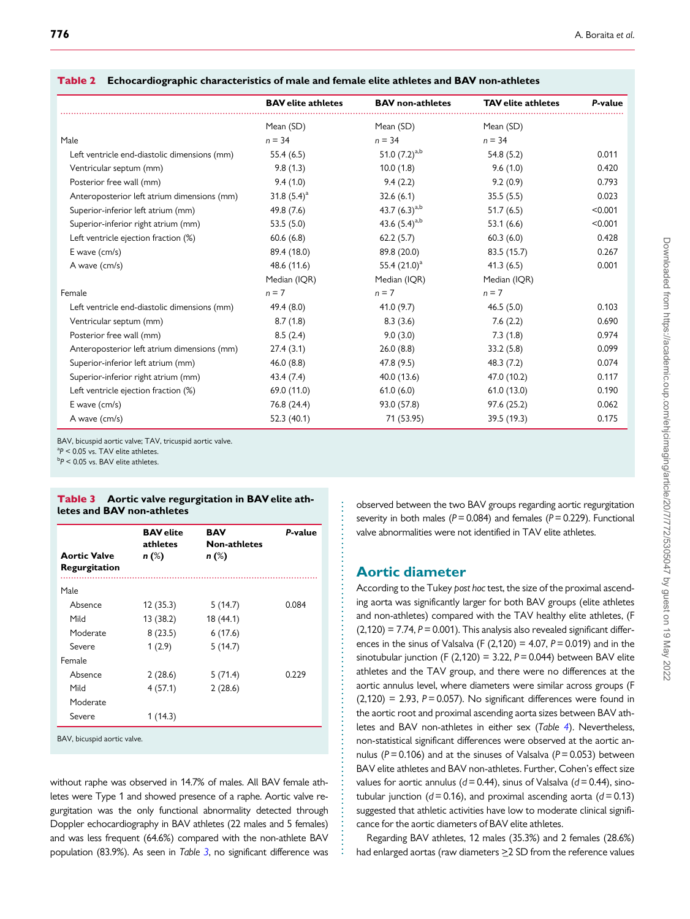|                                              | <b>BAV</b> elite athletes | <b>BAV</b> non-athletes | <b>TAV</b> elite athletes | P-value |
|----------------------------------------------|---------------------------|-------------------------|---------------------------|---------|
|                                              | Mean (SD)                 | Mean (SD)               | Mean (SD)                 |         |
| Male                                         | $n = 34$                  | $n = 34$                | $n = 34$                  |         |
| Left ventricle end-diastolic dimensions (mm) | 55.4(6.5)                 | 51.0 $(7.2)^{a,b}$      | 54.8(5.2)                 | 0.011   |
| Ventricular septum (mm)                      | 9.8(1.3)                  | 10.0(1.8)               | 9.6(1.0)                  | 0.420   |
| Posterior free wall (mm)                     | 9.4(1.0)                  | 9.4(2.2)                | 9.2(0.9)                  | 0.793   |
| Anteroposterior left atrium dimensions (mm)  | 31.8 $(5.4)^a$            | 32.6(6.1)               | 35.5(5.5)                 | 0.023   |
| Superior-inferior left atrium (mm)           | 49.8 (7.6)                | 43.7 $(6.3)^{a,b}$      | 51.7(6.5)                 | < 0.001 |
| Superior-inferior right atrium (mm)          | 53.5(5.0)                 | 43.6 $(5.4)^{a,b}$      | 53.1(6.6)                 | < 0.001 |
| Left ventricle ejection fraction (%)         | 60.6(6.8)                 | 62.2(5.7)               | 60.3(6.0)                 | 0.428   |
| E wave (cm/s)                                | 89.4 (18.0)               | 89.8 (20.0)             | 83.5 (15.7)               | 0.267   |
| A wave (cm/s)                                | 48.6 (11.6)               | 55.4 $(21.0)^a$         | 41.3(6.5)                 | 0.001   |
|                                              | Median (IQR)              | Median (IQR)            | Median (IQR)              |         |
| Female                                       | $n = 7$                   | $n = 7$                 | $n = 7$                   |         |
| Left ventricle end-diastolic dimensions (mm) | 49.4 (8.0)                | 41.0(9.7)               | 46.5(5.0)                 | 0.103   |
| Ventricular septum (mm)                      | 8.7(1.8)                  | 8.3(3.6)                | 7.6(2.2)                  | 0.690   |
| Posterior free wall (mm)                     | 8.5(2.4)                  | 9.0(3.0)                | 7.3(1.8)                  | 0.974   |
| Anteroposterior left atrium dimensions (mm)  | 27.4(3.1)                 | 26.0(8.8)               | 33.2(5.8)                 | 0.099   |
| Superior-inferior left atrium (mm)           | 46.0(8.8)                 | 47.8 (9.5)              | 48.3 (7.2)                | 0.074   |
| Superior-inferior right atrium (mm)          | 43.4 (7.4)                | 40.0 (13.6)             | 47.0 (10.2)               | 0.117   |
| Left ventricle ejection fraction (%)         | 69.0 (11.0)               | 61.0(6.0)               | 61.0(13.0)                | 0.190   |
| $E$ wave (cm/s)                              | 76.8 (24.4)               | 93.0 (57.8)             | 97.6 (25.2)               | 0.062   |
| A wave (cm/s)                                | 52.3 (40.1)               | 71 (53.95)              | 39.5 (19.3)               | 0.175   |

. . . . . . . . . . . . . . . . . . . . . . . . . . . . . . . . . . . . . . . . . . . . . . . . . . . . . . . . . . . . . . . . . . . . . . . . . . . . . .

#### <span id="page-4-0"></span>Table 2 Echocardiographic characteristics of male and female elite athletes and BAV non-athletes

BAV, bicuspid aortic valve; TAV, tricuspid aortic valve.

 ${}^{a}P$  < 0.05 vs. TAV elite athletes.

 $\rm ^{b}P$  < 0.05 vs. BAV elite athletes.

#### Table 3 Aortic valve regurgitation in BAV elite athletes and BAV non-athletes

| <b>Aortic Valve</b><br>Regurgitation | <b>BAV</b> elite<br>athletes<br>$n$ (%) | <b>BAV</b><br><b>Non-athletes</b><br>$n$ (%) | P-value |
|--------------------------------------|-----------------------------------------|----------------------------------------------|---------|
| Male                                 |                                         |                                              |         |
| Absence                              | 12(35.3)                                | 5(14.7)                                      | 0.084   |
| Mild                                 | 13 (38.2)                               | 18 (44.1)                                    |         |
| Moderate                             | 8(23.5)                                 | 6(17.6)                                      |         |
| Severe                               | 1(2.9)                                  | 5(14.7)                                      |         |
| Female                               |                                         |                                              |         |
| Absence                              | 2(28.6)                                 | 5(71.4)                                      | 0.229   |
| Mild                                 | 4(57.1)                                 | 2(28.6)                                      |         |
| Moderate                             |                                         |                                              |         |
| Severe                               | 1(14.3)                                 |                                              |         |

without raphe was observed in 14.7% of males. All BAV female athletes were Type 1 and showed presence of a raphe. Aortic valve regurgitation was the only functional abnormality detected through Doppler echocardiography in BAV athletes (22 males and 5 females) and was less frequent (64.6%) compared with the non-athlete BAV population (83.9%). As seen in Table 3, no significant difference was observed between the two BAV groups regarding aortic regurgitation severity in both males ( $P = 0.084$ ) and females ( $P = 0.229$ ). Functional valve abnormalities were not identified in TAV elite athletes.

### Aortic diameter

According to the Tukey post hoc test, the size of the proximal ascending aorta was significantly larger for both BAV groups (elite athletes and non-athletes) compared with the TAV healthy elite athletes, (F  $(2,120) = 7.74$ ,  $P = 0.001$ ). This analysis also revealed significant differences in the sinus of Valsalva (F (2,120) = 4.07,  $P = 0.019$ ) and in the sinotubular junction (F (2,120) = 3.22,  $P = 0.044$ ) between BAV elite athletes and the TAV group, and there were no differences at the aortic annulus level, where diameters were similar across groups (F  $(2,120) = 2.93$ ,  $P = 0.057$ ). No significant differences were found in the aortic root and proximal ascending aorta sizes between BAV athletes and BAV non-athletes in either sex (Table [4](#page-5-0)). Nevertheless, non-statistical significant differences were observed at the aortic annulus ( $P = 0.106$ ) and at the sinuses of Valsalva ( $P = 0.053$ ) between BAV elite athletes and BAV non-athletes. Further, Cohen's effect size values for aortic annulus ( $d = 0.44$ ), sinus of Valsalva ( $d = 0.44$ ), sinotubular junction ( $d = 0.16$ ), and proximal ascending aorta ( $d = 0.13$ ) suggested that athletic activities have low to moderate clinical significance for the aortic diameters of BAV elite athletes.

Regarding BAV athletes, 12 males (35.3%) and 2 females (28.6%) had enlarged aortas (raw diameters  $\geq$ 2 SD from the reference values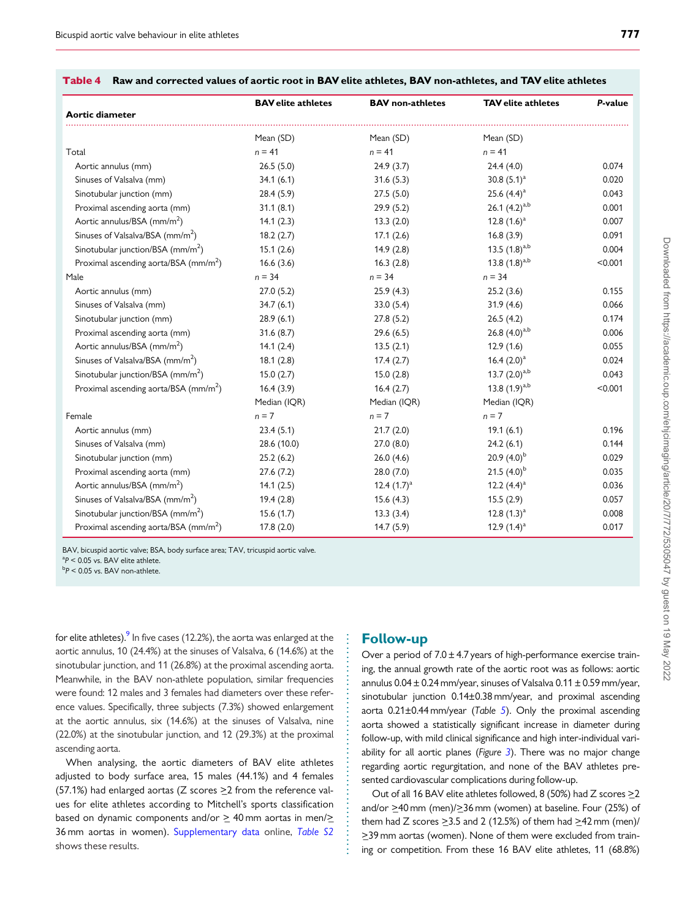|                                                   | <b>BAV</b> elite athletes | <b>BAV</b> non-athletes | <b>TAV</b> elite athletes | P-value |
|---------------------------------------------------|---------------------------|-------------------------|---------------------------|---------|
| Aortic diameter                                   |                           |                         |                           |         |
|                                                   | Mean (SD)                 | Mean (SD)               | Mean (SD)                 |         |
| Total                                             | $n = 41$                  | $n = 41$                | $n = 41$                  |         |
| Aortic annulus (mm)                               | 26.5(5.0)                 | 24.9(3.7)               | 24.4(4.0)                 | 0.074   |
| Sinuses of Valsalva (mm)                          | 34.1(6.1)                 | 31.6(5.3)               | 30.8 $(5.1)^a$            | 0.020   |
| Sinotubular junction (mm)                         | 28.4(5.9)                 | 27.5(5.0)               | 25.6 $(4.4)^a$            | 0.043   |
| Proximal ascending aorta (mm)                     | 31.1(8.1)                 | 29.9(5.2)               | 26.1 $(4.2)^{a,b}$        | 0.001   |
| Aortic annulus/BSA (mm/m <sup>2</sup> )           | 14.1(2.3)                 | 13.3(2.0)               | 12.8 $(1.6)^a$            | 0.007   |
| Sinuses of Valsalva/BSA (mm/m <sup>2</sup> )      | 18.2(2.7)                 | 17.1(2.6)               | 16.8(3.9)                 | 0.091   |
| Sinotubular junction/BSA (mm/m <sup>2</sup> )     | 15.1(2.6)                 | 14.9(2.8)               | 13.5 $(1.8)^{a,b}$        | 0.004   |
| Proximal ascending aorta/BSA (mm/m <sup>2</sup> ) | 16.6(3.6)                 | 16.3(2.8)               | 13.8 $(1.8)^{a,b}$        | < 0.001 |
| Male                                              | $n = 34$                  | $n = 34$                | $n = 34$                  |         |
| Aortic annulus (mm)                               | 27.0(5.2)                 | 25.9(4.3)               | 25.2(3.6)                 | 0.155   |
| Sinuses of Valsalva (mm)                          | 34.7(6.1)                 | 33.0(5.4)               | 31.9(4.6)                 | 0.066   |
| Sinotubular junction (mm)                         | 28.9(6.1)                 | 27.8(5.2)               | 26.5(4.2)                 | 0.174   |
| Proximal ascending aorta (mm)                     | 31.6(8.7)                 | 29.6(6.5)               | 26.8 $(4.0)^{a,b}$        | 0.006   |
| Aortic annulus/BSA (mm/m <sup>2</sup> )           | 14.1(2.4)                 | 13.5(2.1)               | 12.9(1.6)                 | 0.055   |
| Sinuses of Valsalva/BSA (mm/m <sup>2</sup> )      | 18.1(2.8)                 | 17.4(2.7)               | 16.4 $(2.0)^a$            | 0.024   |
| Sinotubular junction/BSA $\text{(mm/m}^2)$        | 15.0(2.7)                 | 15.0(2.8)               | 13.7 $(2.0)^{a,b}$        | 0.043   |
| Proximal ascending aorta/BSA (mm/m <sup>2</sup> ) | 16.4(3.9)                 | 16.4(2.7)               | 13.8 $(1.9)^{a,b}$        | < 0.001 |
|                                                   | Median (IQR)              | Median (IQR)            | Median (IQR)              |         |
| Female                                            | $n = 7$                   | $n = 7$                 | $n = 7$                   |         |
| Aortic annulus (mm)                               | 23.4(5.1)                 | 21.7(2.0)               | 19.1(6.1)                 | 0.196   |
| Sinuses of Valsalva (mm)                          | 28.6 (10.0)               | 27.0(8.0)               | 24.2(6.1)                 | 0.144   |
| Sinotubular junction (mm)                         | 25.2(6.2)                 | 26.0(4.6)               | 20.9 $(4.0)^{b}$          | 0.029   |
| Proximal ascending aorta (mm)                     | 27.6(7.2)                 | 28.0(7.0)               | 21.5 $(4.0)^{b}$          | 0.035   |
| Aortic annulus/BSA (mm/m <sup>2</sup> )           | 14.1(2.5)                 | 12.4 $(1.7)^a$          | 12.2 $(4.4)^a$            | 0.036   |
| Sinuses of Valsalva/BSA (mm/m <sup>2</sup> )      | 19.4(2.8)                 | 15.6(4.3)               | 15.5(2.9)                 | 0.057   |
| Sinotubular junction/BSA $\text{(mm/m}^2\text{)}$ | 15.6(1.7)                 | 13.3(3.4)               | 12.8 $(1.3)^a$            | 0.008   |
| Proximal ascending aorta/BSA (mm/m <sup>2</sup> ) | 17.8(2.0)                 | 14.7(5.9)               | 12.9 $(1.4)^a$            | 0.017   |

#### <span id="page-5-0"></span>Table 4 Raw and corrected values of aortic root in BAV elite athletes, BAV non-athletes, and TAV elite athletes

BAV, bicuspid aortic valve; BSA, body surface area; TAV, tricuspid aortic valve.

 ${}^{a}P$  < 0.05 vs. BAV elite athlete.

 $\rm ^{b}P$  < 0.05 vs. BAV non-athlete.

for elite athletes).  $9 \text{ ln}$  five cases (12.2%), the aorta was enlarged at the aortic annulus, 10 (24.4%) at the sinuses of Valsalva, 6 (14.6%) at the sinotubular junction, and 11 (26.8%) at the proximal ascending aorta. Meanwhile, in the BAV non-athlete population, similar frequencies were found: 12 males and 3 females had diameters over these reference values. Specifically, three subjects (7.3%) showed enlargement at the aortic annulus, six (14.6%) at the sinuses of Valsalva, nine (22.0%) at the sinotubular junction, and 12 (29.3%) at the proximal ascending aorta.

When analysing, the aortic diameters of BAV elite athletes adjusted to body surface area, 15 males (44.1%) and 4 females (57.1%) had enlarged aortas (Z scores  $\geq$ 2 from the reference values for elite athletes according to Mitchell's sports classification based on dynamic components and/or  $\geq$  40 mm aortas in men/ $\geq$ 36 mm aortas in women). [Supplementary data](https://academic.oup.com/ehjcimaging/article-lookup/doi/10.1093/ehjci/jez001#supplementary-data) online, [Table S2](https://academic.oup.com/ehjcimaging/article-lookup/doi/10.1093/ehjci/jez001#supplementary-data) shows these results.

### Follow-up

. . . . . . . . . . . . . . . . . . . . . . . . . . . . . . . . . . . . . . . . . . . . . . . .

Over a period of  $7.0 \pm 4.7$  years of high-performance exercise training, the annual growth rate of the aortic root was as follows: aortic annulus  $0.04 \pm 0.24$  mm/year, sinuses of Valsalva  $0.11 \pm 0.59$  mm/year, sinotubular junction 0.14±0.38 mm/year, and proximal ascending aorta  $0.21\pm0.44$  mm/year (Table [5](#page-6-0)). Only the proximal ascending aorta showed a statistically significant increase in diameter during follow-up, with mild clinical significance and high inter-individual variability for all aortic planes (Figure  $3$ ). There was no major change regarding aortic regurgitation, and none of the BAV athletes presented cardiovascular complications during follow-up.

Out of all 16 BAV elite athletes followed, 8 (50%) had Z scores  $\geq$ 2 and/or  $\geq$ 40 mm (men)/ $\geq$ 36 mm (women) at baseline. Four (25%) of them had Z scores  $\geq$ 3.5 and 2 (12.5%) of them had  $\geq$ 42 mm (men)/ >\_39 mm aortas (women). None of them were excluded from training or competition. From these 16 BAV elite athletes, 11 (68.8%)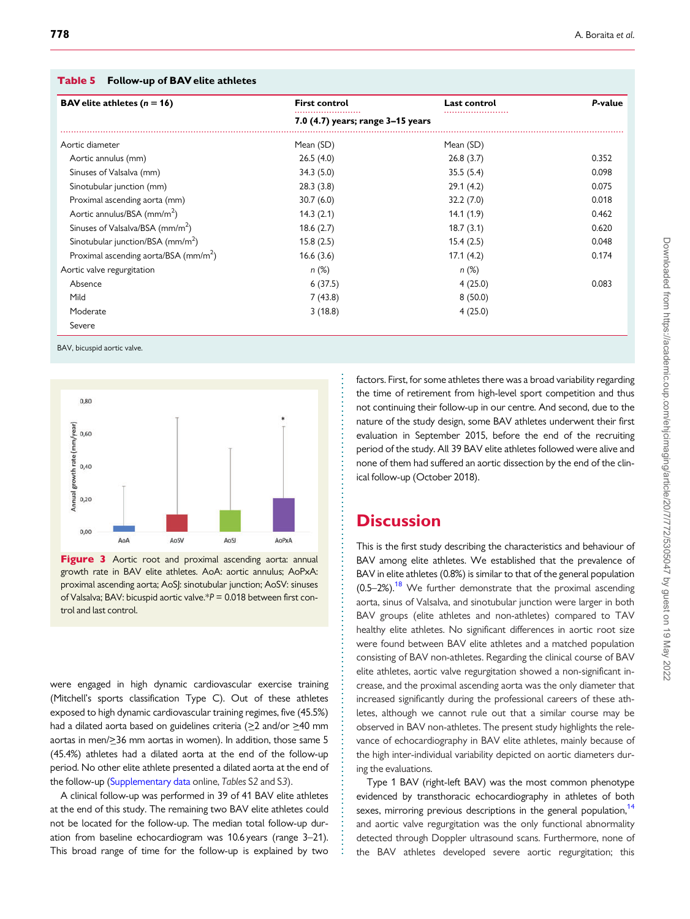| <b>BAV</b> elite athletes $(n = 16)$              | <b>First control</b>              | Last control | P-value |
|---------------------------------------------------|-----------------------------------|--------------|---------|
|                                                   | 7.0 (4.7) years; range 3–15 years |              |         |
| Aortic diameter                                   | Mean (SD)                         | Mean (SD)    |         |
| Aortic annulus (mm)                               | 26.5(4.0)                         | 26.8(3.7)    | 0.352   |
| Sinuses of Valsalva (mm)                          | 34.3(5.0)                         | 35.5(5.4)    | 0.098   |
| Sinotubular junction (mm)                         | 28.3(3.8)                         | 29.1(4.2)    | 0.075   |
| Proximal ascending aorta (mm)                     | 30.7(6.0)                         | 32.2(7.0)    | 0.018   |
| Aortic annulus/BSA (mm/m <sup>2</sup> )           | 14.3(2.1)                         | 14.1(1.9)    | 0.462   |
| Sinuses of Valsalva/BSA (mm/m <sup>2</sup> )      | 18.6(2.7)                         | 18.7(3.1)    | 0.620   |
| Sinotubular junction/BSA (mm/m <sup>2</sup> )     | 15.8(2.5)                         | 15.4(2.5)    | 0.048   |
| Proximal ascending aorta/BSA (mm/m <sup>2</sup> ) | 16.6(3.6)                         | 17.1(4.2)    | 0.174   |
| Aortic valve regurgitation                        | $n (\%)$                          | $n (\%)$     |         |
| Absence                                           | 6(37.5)                           | 4(25.0)      | 0.083   |
| Mild                                              | 7(43.8)                           | 8(50.0)      |         |
| Moderate                                          | 3(18.8)                           | 4(25.0)      |         |
| Severe                                            |                                   |              |         |

<span id="page-6-0"></span>Table 5 Follow-up of BAV elite athletes

BAV, bicuspid aortic valve.



Figure 3 Aortic root and proximal ascending aorta: annual growth rate in BAV elite athletes. AoA: aortic annulus; AoPxA: proximal ascending aorta; AoSJ: sinotubular junction; AoSV: sinuses of Valsalva; BAV: bicuspid aortic valve.\*P = 0.018 between first control and last control.

were engaged in high dynamic cardiovascular exercise training (Mitchell's sports classification Type C). Out of these athletes exposed to high dynamic cardiovascular training regimes, five (45.5%) had a dilated aorta based on guidelines criteria ( $\geq$ 2 and/or  $\geq$ 40 mm aortas in men/ $>$ 36 mm aortas in women). In addition, those same 5 (45.4%) athletes had a dilated aorta at the end of the follow-up period. No other elite athlete presented a dilated aorta at the end of the follow-up [\(Supplementary data](https://academic.oup.com/ehjcimaging/article-lookup/doi/10.1093/ehjci/jez001#supplementary-data) online, Tables S2 and S3).

A clinical follow-up was performed in 39 of 41 BAV elite athletes at the end of this study. The remaining two BAV elite athletes could not be located for the follow-up. The median total follow-up duration from baseline echocardiogram was 10.6 years (range 3–21). This broad range of time for the follow-up is explained by two factors. First, for some athletes there was a broad variability regarding the time of retirement from high-level sport competition and thus not continuing their follow-up in our centre. And second, due to the nature of the study design, some BAV athletes underwent their first evaluation in September 2015, before the end of the recruiting period of the study. All 39 BAV elite athletes followed were alive and none of them had suffered an aortic dissection by the end of the clinical follow-up (October 2018).

# **Discussion**

. . . . . . . . . . . . . . . . . . . . . . . . . . . . . . . . . . . . . . . . . . . . . . . . . . . . . . . . . . . . . . . . . . . . . . . . . . . . . . . . . . . . . . . . . . . . . . . . . . . . . . . . . .

This is the first study describing the characteristics and behaviour of BAV among elite athletes. We established that the prevalence of BAV in elite athletes (0.8%) is similar to that of the general population  $(0.5-2%)$ <sup>[18](#page-8-0)</sup> We further demonstrate that the proximal ascending aorta, sinus of Valsalva, and sinotubular junction were larger in both BAV groups (elite athletes and non-athletes) compared to TAV healthy elite athletes. No significant differences in aortic root size were found between BAV elite athletes and a matched population consisting of BAV non-athletes. Regarding the clinical course of BAV elite athletes, aortic valve regurgitation showed a non-significant increase, and the proximal ascending aorta was the only diameter that increased significantly during the professional careers of these athletes, although we cannot rule out that a similar course may be observed in BAV non-athletes. The present study highlights the relevance of echocardiography in BAV elite athletes, mainly because of the high inter-individual variability depicted on aortic diameters during the evaluations.

Type 1 BAV (right-left BAV) was the most common phenotype evidenced by transthoracic echocardiography in athletes of both sexes, mirroring previous descriptions in the general population,<sup>14</sup> and aortic valve regurgitation was the only functional abnormality detected through Doppler ultrasound scans. Furthermore, none of the BAV athletes developed severe aortic regurgitation; this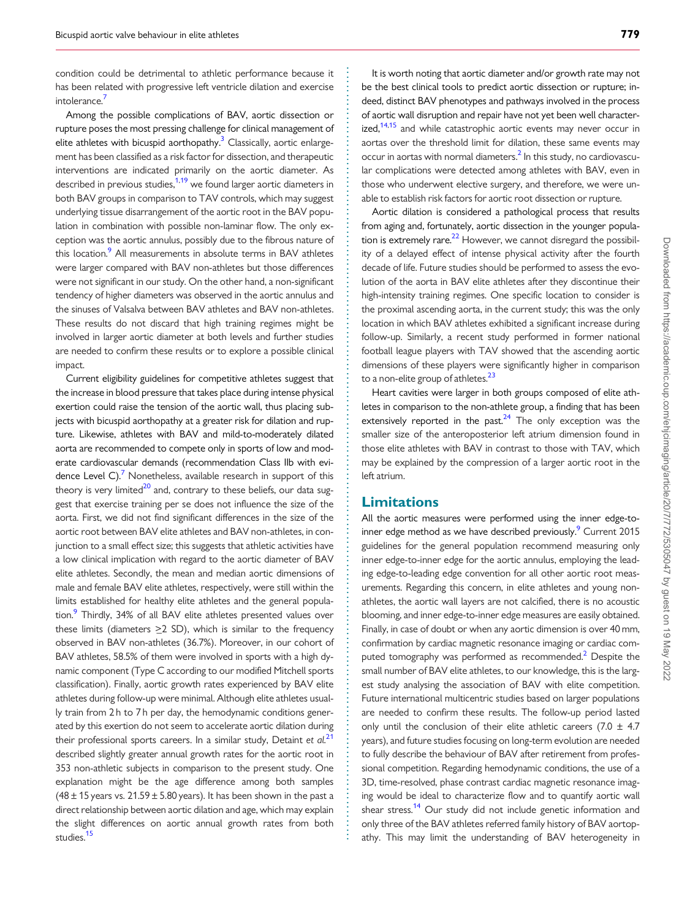<span id="page-7-0"></span>. condition could be detrimental to athletic performance because it has been related with progressive left ventricle dilation and exercise intolerance.<sup>7</sup>

Among the possible complications of BAV, aortic dissection or rupture poses the most pressing challenge for clinical management of elite athletes with bicuspid aorthopathy.<sup>3</sup> Classically, aortic enlargement has been classified as a risk factor for dissection, and therapeutic interventions are indicated primarily on the aortic diameter. As described in previous studies, $1,19$  $1,19$  $1,19$  we found larger aortic diameters in both BAV groups in comparison to TAV controls, which may suggest underlying tissue disarrangement of the aortic root in the BAV population in combination with possible non-laminar flow. The only exception was the aortic annulus, possibly due to the fibrous nature of this location.<sup>9</sup> All measurements in absolute terms in BAV athletes were larger compared with BAV non-athletes but those differences were not significant in our study. On the other hand, a non-significant tendency of higher diameters was observed in the aortic annulus and the sinuses of Valsalva between BAV athletes and BAV non-athletes. These results do not discard that high training regimes might be involved in larger aortic diameter at both levels and further studies are needed to confirm these results or to explore a possible clinical impact.

Current eligibility guidelines for competitive athletes suggest that the increase in blood pressure that takes place during intense physical exertion could raise the tension of the aortic wall, thus placing subjects with bicuspid aorthopathy at a greater risk for dilation and rupture. Likewise, athletes with BAV and mild-to-moderately dilated aorta are recommended to compete only in sports of low and moderate cardiovascular demands (recommendation Class IIb with evidence Level C).<sup>7</sup> Nonetheless, available research in support of this theory is very limited $^{20}$  and, contrary to these beliefs, our data suggest that exercise training per se does not influence the size of the aorta. First, we did not find significant differences in the size of the aortic root between BAV elite athletes and BAV non-athletes, in conjunction to a small effect size; this suggests that athletic activities have a low clinical implication with regard to the aortic diameter of BAV elite athletes. Secondly, the mean and median aortic dimensions of male and female BAV elite athletes, respectively, were still within the limits established for healthy elite athletes and the general population.<sup>9</sup> Thirdly, 34% of all BAV elite athletes presented values over these limits (diameters  $\geq$  2 SD), which is similar to the frequency observed in BAV non-athletes (36.7%). Moreover, in our cohort of BAV athletes, 58.5% of them were involved in sports with a high dynamic component (Type C according to our modified Mitchell sports classification). Finally, aortic growth rates experienced by BAV elite athletes during follow-up were minimal. Although elite athletes usually train from 2 h to 7 h per day, the hemodynamic conditions generated by this exertion do not seem to accelerate aortic dilation during their professional sports careers. In a similar study, Detaint et  $al.^{21}$  $al.^{21}$  $al.^{21}$ described slightly greater annual growth rates for the aortic root in 353 non-athletic subjects in comparison to the present study. One explanation might be the age difference among both samples (48  $\pm$  15 years vs. 21.59  $\pm$  5.80 years). It has been shown in the past a direct relationship between aortic dilation and age, which may explain the slight differences on aortic annual growth rates from both studies.<sup>[15](#page-8-0)</sup>

It is worth noting that aortic diameter and/or growth rate may not be the best clinical tools to predict aortic dissection or rupture; indeed, distinct BAV phenotypes and pathways involved in the process of aortic wall disruption and repair have not yet been well characterized, $14,15$  and while catastrophic aortic events may never occur in aortas over the threshold limit for dilation, these same events may occur in aortas with normal diameters. $<sup>2</sup>$  In this study, no cardiovascu-</sup> lar complications were detected among athletes with BAV, even in those who underwent elective surgery, and therefore, we were unable to establish risk factors for aortic root dissection or rupture.

Aortic dilation is considered a pathological process that results from aging and, fortunately, aortic dissection in the younger population is extremely rare. $^{22}$  However, we cannot disregard the possibility of a delayed effect of intense physical activity after the fourth decade of life. Future studies should be performed to assess the evolution of the aorta in BAV elite athletes after they discontinue their high-intensity training regimes. One specific location to consider is the proximal ascending aorta, in the current study; this was the only location in which BAV athletes exhibited a significant increase during follow-up. Similarly, a recent study performed in former national football league players with TAV showed that the ascending aortic dimensions of these players were significantly higher in comparison to a non-elite group of athletes.<sup>23</sup>

Heart cavities were larger in both groups composed of elite athletes in comparison to the non-athlete group, a finding that has been extensively reported in the past. $24$  The only exception was the smaller size of the anteroposterior left atrium dimension found in those elite athletes with BAV in contrast to those with TAV, which may be explained by the compression of a larger aortic root in the left atrium.

### Limitations

. . . . . . . . . . . . . . . . . . . . . . . . . . . . . . . . . . . . . . . . . . . . . . . . . . . . . . . . . . . . . . . . . . . . . . . . . . . . . . . . . . . . . . . . . . . . . . . . . . . . . . . . . . . . . . . . . . . . . . . . . . . . . . . . . . . . . . . . . . . . . . . . . . . . . . . . . . . . . . . . . . . . . . . . .

All the aortic measures were performed using the inner edge-toinner edge method as we have described previously.<sup>9</sup> Current 2015 guidelines for the general population recommend measuring only inner edge-to-inner edge for the aortic annulus, employing the leading edge-to-leading edge convention for all other aortic root measurements. Regarding this concern, in elite athletes and young nonathletes, the aortic wall layers are not calcified, there is no acoustic blooming, and inner edge-to-inner edge measures are easily obtained. Finally, in case of doubt or when any aortic dimension is over 40 mm, confirmation by cardiac magnetic resonance imaging or cardiac com-puted tomography was performed as recommended.<sup>[2](#page-8-0)</sup> Despite the small number of BAV elite athletes, to our knowledge, this is the largest study analysing the association of BAV with elite competition. Future international multicentric studies based on larger populations are needed to confirm these results. The follow-up period lasted only until the conclusion of their elite athletic careers (7.0  $\pm$  4.7 years), and future studies focusing on long-term evolution are needed to fully describe the behaviour of BAV after retirement from professional competition. Regarding hemodynamic conditions, the use of a 3D, time-resolved, phase contrast cardiac magnetic resonance imaging would be ideal to characterize flow and to quantify aortic wall shear stress.<sup>[14](#page-8-0)</sup> Our study did not include genetic information and only three of the BAV athletes referred family history of BAV aortopathy. This may limit the understanding of BAV heterogeneity in